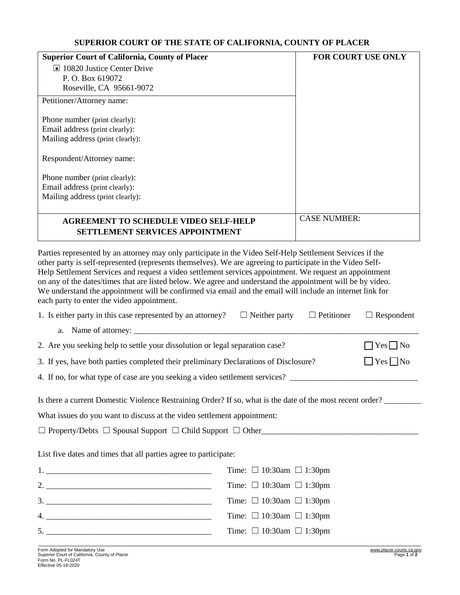## **SUPERIOR COURT OF THE STATE OF CALIFORNIA, COUNTY OF PLACER**

| <b>Superior Court of California, County of Placer</b> | FOR COURT USE ONLY  |
|-------------------------------------------------------|---------------------|
| $\Box$ 10820 Justice Center Drive                     |                     |
| P. O. Box 619072                                      |                     |
| Roseville, CA 95661-9072                              |                     |
| Petitioner/Attorney name:                             |                     |
| Phone number (print clearly):                         |                     |
| Email address (print clearly):                        |                     |
| Mailing address (print clearly):                      |                     |
| Respondent/Attorney name:                             |                     |
| Phone number (print clearly):                         |                     |
| Email address (print clearly):                        |                     |
| Mailing address (print clearly):                      |                     |
|                                                       |                     |
| <b>AGREEMENT TO SCHEDULE VIDEO SELF-HELP</b>          | <b>CASE NUMBER:</b> |
| <b>SETTLEMENT SERVICES APPOINTMENT</b>                |                     |

Parties represented by an attorney may only participate in the Video Self-Help Settlement Services if the other party is self-represented (represents themselves). We are agreeing to participate in the Video Self-Help Settlement Services and request a video settlement services appointment. We request an appointment on any of the dates/times that are listed below. We agree and understand the appointment will be by video. We understand the appointment will be confirmed via email and the email will include an internet link for each party to enter the video appointment.

| 1. Is either party in this case represented by an attorney? $\square$ Neither party                       |  |                                    | $\Box$ Petitioner    | $\Box$ Respondent |  |
|-----------------------------------------------------------------------------------------------------------|--|------------------------------------|----------------------|-------------------|--|
|                                                                                                           |  |                                    |                      |                   |  |
| 2. Are you seeking help to settle your dissolution or legal separation case?                              |  |                                    | $\Box$ Yes $\Box$ No |                   |  |
| 3. If yes, have both parties completed their preliminary Declarations of Disclosure?                      |  |                                    | $\Box$ Yes $\Box$ No |                   |  |
|                                                                                                           |  |                                    |                      |                   |  |
| Is there a current Domestic Violence Restraining Order? If so, what is the date of the most recent order? |  |                                    |                      |                   |  |
| What issues do you want to discuss at the video settlement appointment:                                   |  |                                    |                      |                   |  |
| $\Box$ Property/Debts $\Box$ Spousal Support $\Box$ Child Support $\Box$ Other                            |  |                                    |                      |                   |  |
| List five dates and times that all parties agree to participate:                                          |  |                                    |                      |                   |  |
|                                                                                                           |  | Time: $\Box$ 10:30am $\Box$ 1:30pm |                      |                   |  |
|                                                                                                           |  | Time: $\Box$ 10:30am $\Box$ 1:30pm |                      |                   |  |
|                                                                                                           |  | Time: $\Box$ 10:30am $\Box$ 1:30pm |                      |                   |  |
|                                                                                                           |  | Time: $\Box$ 10:30am $\Box$ 1:30pm |                      |                   |  |
|                                                                                                           |  | Time: $\Box$ 10:30am $\Box$ 1:30pm |                      |                   |  |